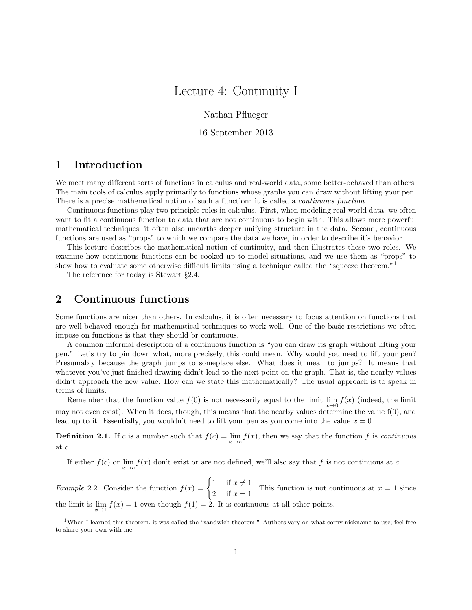# Lecture 4: Continuity I

Nathan Pflueger

16 September 2013

### 1 Introduction

We meet many different sorts of functions in calculus and real-world data, some better-behaved than others. The main tools of calculus apply primarily to functions whose graphs you can draw without lifting your pen. There is a precise mathematical notion of such a function: it is called a *continuous function*.

Continuous functions play two principle roles in calculus. First, when modeling real-world data, we often want to fit a continuous function to data that are not continuous to begin with. This allows more powerful mathematical techniques; it often also unearths deeper unifying structure in the data. Second, continuous functions are used as "props" to which we compare the data we have, in order to describe it's behavior.

This lecture describes the mathematical notion of continuity, and then illustrates these two roles. We examine how continuous functions can be cooked up to model situations, and we use them as "props" to show how to evaluate some otherwise difficult limits using a technique called the "squeeze theorem."<sup>1</sup>

The reference for today is Stewart §2.4.

#### 2 Continuous functions

Some functions are nicer than others. In calculus, it is often necessary to focus attention on functions that are well-behaved enough for mathematical techniques to work well. One of the basic restrictions we often impose on functions is that they should br continuous.

A common informal description of a continuous function is "you can draw its graph without lifting your pen." Let's try to pin down what, more precisely, this could mean. Why would you need to lift your pen? Presumably because the graph jumps to someplace else. What does it mean to jumps? It means that whatever you've just finished drawing didn't lead to the next point on the graph. That is, the nearby values didn't approach the new value. How can we state this mathematically? The usual approach is to speak in terms of limits.

Remember that the function value  $f(0)$  is not necessarily equal to the limit  $\lim_{x\to 0} f(x)$  (indeed, the limit may not even exist). When it does, though, this means that the nearby values determine the value f(0), and lead up to it. Essentially, you wouldn't need to lift your pen as you come into the value  $x = 0$ .

**Definition 2.1.** If c is a number such that  $f(c) = \lim_{x \to c} f(x)$ , then we say that the function f is continuous at c.

If either  $f(c)$  or  $\lim_{x\to c} f(x)$  don't exist or are not defined, we'll also say that f is not continuous at c.

*Example* 2.2. Consider the function  $f(x) =\begin{cases} 1 & \text{if } x \neq 1 \\ 0 & \text{if } x = 1 \end{cases}$  $\frac{1}{2}$  if  $x = 1$ . This function is not continuous at  $x = 1$  since the limit is  $\lim_{x\to 1} f(x) = 1$  even though  $f(1) = 2$ . It is continuous at all other points.

<sup>1</sup>When I learned this theorem, it was called the "sandwich theorem." Authors vary on what corny nickname to use; feel free to share your own with me.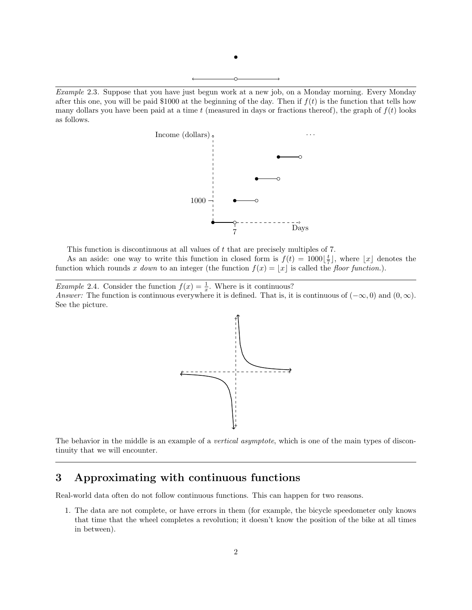



This function is discontinuous at all values of t that are precisely multiples of 7.

As an aside: one way to write this function in closed form is  $f(t) = 1000\left[\frac{t}{7}\right]$ , where  $\lfloor x \rfloor$  denotes the function which rounds x down to an integer (the function  $f(x) = |x|$  is called the floor function.).

*Example 2.4.* Consider the function  $f(x) = \frac{1}{x}$ . Where is it continuous? Answer: The function is continuous everywhere it is defined. That is, it is continuous of  $(-\infty, 0)$  and  $(0, \infty)$ . See the picture.



The behavior in the middle is an example of a vertical asymptote, which is one of the main types of discontinuity that we will encounter.

## 3 Approximating with continuous functions

Real-world data often do not follow continuous functions. This can happen for two reasons.

1. The data are not complete, or have errors in them (for example, the bicycle speedometer only knows that time that the wheel completes a revolution; it doesn't know the position of the bike at all times in between).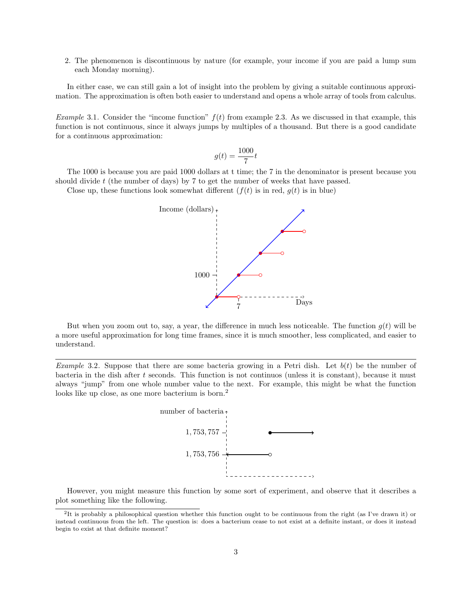2. The phenomenon is discontinuous by nature (for example, your income if you are paid a lump sum each Monday morning).

In either case, we can still gain a lot of insight into the problem by giving a suitable continuous approximation. The approximation is often both easier to understand and opens a whole array of tools from calculus.

*Example* 3.1. Consider the "income function"  $f(t)$  from example 2.3. As we discussed in that example, this function is not continuous, since it always jumps by multiples of a thousand. But there is a good candidate for a continuous approximation:

$$
g(t) = \frac{1000}{7}t
$$

The 1000 is because you are paid 1000 dollars at t time; the 7 in the denominator is present because you should divide  $t$  (the number of days) by  $7$  to get the number of weeks that have passed.

Close up, these functions look somewhat different  $(f(t)$  is in red,  $g(t)$  is in blue)



But when you zoom out to, say, a year, the difference in much less noticeable. The function  $g(t)$  will be a more useful approximation for long time frames, since it is much smoother, less complicated, and easier to understand.

*Example* 3.2. Suppose that there are some bacteria growing in a Petri dish. Let  $b(t)$  be the number of bacteria in the dish after  $t$  seconds. This function is not continuos (unless it is constant), because it must always "jump" from one whole number value to the next. For example, this might be what the function looks like up close, as one more bacterium is born.<sup>2</sup>



However, you might measure this function by some sort of experiment, and observe that it describes a plot something like the following.

<sup>&</sup>lt;sup>2</sup>It is probably a philosophical question whether this function ought to be continuous from the right (as I've drawn it) or instead continuous from the left. The question is: does a bacterium cease to not exist at a definite instant, or does it instead begin to exist at that definite moment?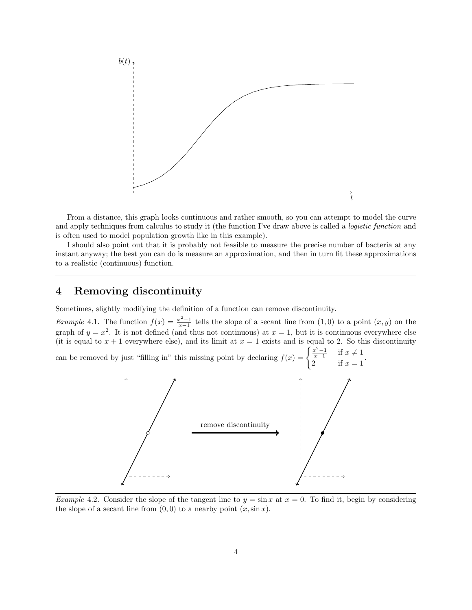

From a distance, this graph looks continuous and rather smooth, so you can attempt to model the curve and apply techniques from calculus to study it (the function I've draw above is called a *logistic function* and is often used to model population growth like in this example).

I should also point out that it is probably not feasible to measure the precise number of bacteria at any instant anyway; the best you can do is measure an approximation, and then in turn fit these approximations to a realistic (continuous) function.

### 4 Removing discontinuity

Sometimes, slightly modifying the definition of a function can remove discontinuity.

*Example* 4.1. The function  $f(x) = \frac{x^2-1}{x-1}$  tells the slope of a secant line from  $(1,0)$  to a point  $(x, y)$  on the graph of  $y = x^2$ . It is not defined (and thus not continuous) at  $x = 1$ , but it is continuous everywhere else (it is equal to  $x + 1$  everywhere else), and its limit at  $x = 1$  exists and is equal to 2. So this discontinuity

can be removed by just "filling in" this missing point by declaring  $f(x) = \begin{cases} \frac{x^2-1}{x-1} & \text{if } x \neq 1 \\ 0 & \text{if } x = 1 \end{cases}$  $x-1$  if  $x = 1$ .



Example 4.2. Consider the slope of the tangent line to  $y = \sin x$  at  $x = 0$ . To find it, begin by considering the slope of a secant line from  $(0, 0)$  to a nearby point  $(x, \sin x)$ .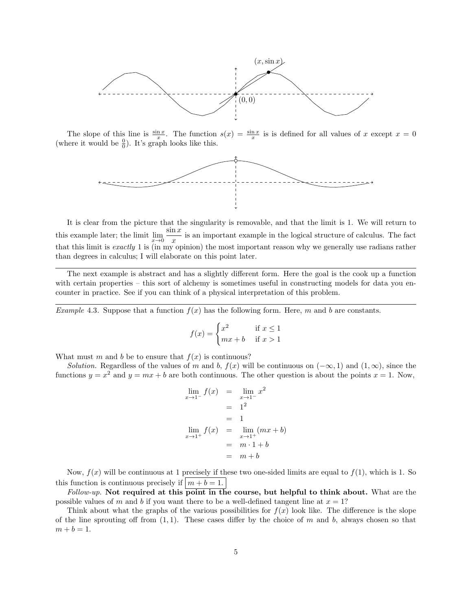

The slope of this line is  $\frac{\sin x}{x}$ . The function  $s(x) = \frac{\sin x}{x}$  is is defined for all values of x except  $x = 0$ (where it would be  $\frac{0}{0}$ ). It's graph looks like this.



It is clear from the picture that the singularity is removable, and that the limit is 1. We will return to this example later; the limit  $\lim_{x\to 0} \frac{\sin x}{x}$  $\frac{d^2x}{dx}$  is an important example in the logical structure of calculus. The fact that this limit is exactly 1 is (in my opinion) the most important reason why we generally use radians rather than degrees in calculus; I will elaborate on this point later.

The next example is abstract and has a slightly different form. Here the goal is the cook up a function with certain properties – this sort of alchemy is sometimes useful in constructing models for data you encounter in practice. See if you can think of a physical interpretation of this problem.

Example 4.3. Suppose that a function  $f(x)$  has the following form. Here, m and b are constants.

$$
f(x) = \begin{cases} x^2 & \text{if } x \le 1\\ mx + b & \text{if } x > 1 \end{cases}
$$

What must m and b be to ensure that  $f(x)$  is continuous?

Solution. Regardless of the values of m and b,  $f(x)$  will be continuous on  $(-\infty, 1)$  and  $(1, \infty)$ , since the functions  $y = x^2$  and  $y = mx + b$  are both continuous. The other question is about the points  $x = 1$ . Now,

$$
\lim_{x \to 1^{-}} f(x) = \lim_{x \to 1^{-}} x^{2}
$$
  
= 1<sup>2</sup>  
= 1  

$$
\lim_{x \to 1^{+}} f(x) = \lim_{x \to 1^{+}} (mx + b)
$$
  
= m \cdot 1 + b  
= m + b

Now,  $f(x)$  will be continuous at 1 precisely if these two one-sided limits are equal to  $f(1)$ , which is 1. So this function is continuous precisely if  $\left| m + b \right| = 1$ .

 $Follow-up$ . Not required at this point in the course, but helpful to think about. What are the possible values of m and b if you want there to be a well-defined tangent line at  $x = 1$ ?

Think about what the graphs of the various possibilities for  $f(x)$  look like. The difference is the slope of the line sprouting off from  $(1, 1)$ . These cases differ by the choice of m and b, always chosen so that  $m + b = 1.$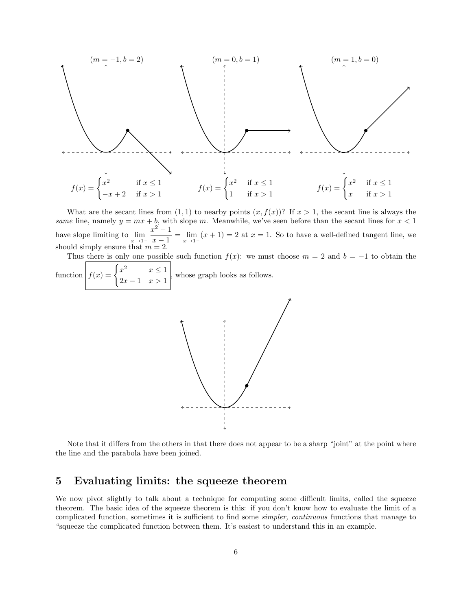

What are the secant lines from  $(1, 1)$  to nearby points  $(x, f(x))$ ? If  $x > 1$ , the secant line is always the same line, namely  $y = mx + b$ , with slope m. Meanwhile, we've seen before than the secant lines for  $x < 1$ have slope limiting to  $\lim_{x \to 1^-}$  $x^2-1$  $\frac{x}{x-1} = \lim_{x \to 1^-} (x+1) = 2$  at  $x = 1$ . So to have a well-defined tangent line, we should simply ensure that  $m = 2$ .

Thus there is only one possible such function  $f(x)$ : we must choose  $m = 2$  and  $b = -1$  to obtain the

function  $f(x) = \begin{cases} x^2 & x \leq 1 \\ 0 & x \leq 1 \end{cases}$  $\begin{array}{c} x \to 1 \\ 2x-1 \to 1 \end{array}$ , whose graph looks as follows.



Note that it differs from the others in that there does not appear to be a sharp "joint" at the point where the line and the parabola have been joined.

### 5 Evaluating limits: the squeeze theorem

We now pivot slightly to talk about a technique for computing some difficult limits, called the squeeze theorem. The basic idea of the squeeze theorem is this: if you don't know how to evaluate the limit of a complicated function, sometimes it is sufficient to find some simpler, continuous functions that manage to "squeeze the complicated function between them. It's easiest to understand this in an example.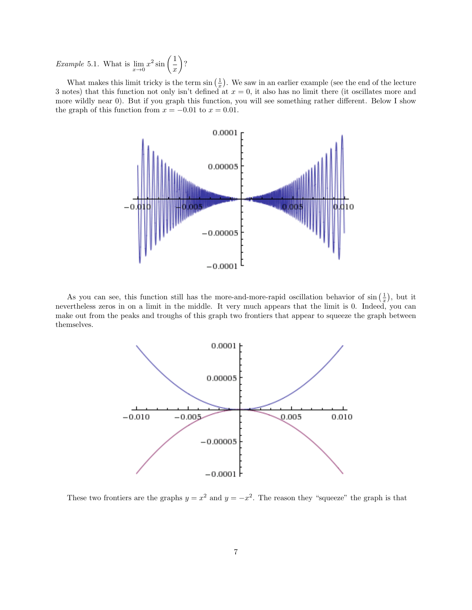*Example* 5.1. What is  $\lim_{x\to 0} x^2 \sin\left(\frac{1}{x}\right)$  $\overline{x}$  $\Big)$ ?

What makes this limit tricky is the term  $\sin\left(\frac{1}{x}\right)$ . We saw in an earlier example (see the end of the lecture 3 notes) that this function not only isn't defined at  $x = 0$ , it also has no limit there (it oscillates more and more wildly near 0). But if you graph this function, you will see something rather different. Below I show the graph of this function from  $x = -0.01$  to  $x = 0.01$ .



As you can see, this function still has the more-and-more-rapid oscillation behavior of  $\sin\left(\frac{1}{x}\right)$ , but it nevertheless zeros in on a limit in the middle. It very much appears that the limit is 0. Indeed, you can make out from the peaks and troughs of this graph two frontiers that appear to squeeze the graph between themselves.



These two frontiers are the graphs  $y = x^2$  and  $y = -x^2$ . The reason they "squeeze" the graph is that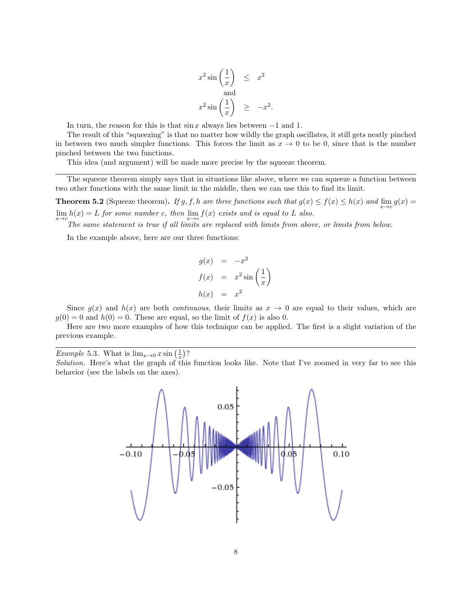$$
x^{2} \sin\left(\frac{1}{x}\right) \leq x^{2}
$$
  
and  

$$
x^{2} \sin\left(\frac{1}{x}\right) \geq -x^{2}
$$

.

In turn, the reason for this is that  $\sin x$  always lies between  $-1$  and 1.

The result of this "squeezing" is that no matter how wildly the graph oscillates, it still gets neatly pinched in between two much simpler functions. This forces the limit as  $x \to 0$  to be 0, since that is the number pinched between the two functions.

This idea (and argument) will be made more precise by the squeeze theorem.

The squeeze theorem simply says that in situations like above, where we can squeeze a function between two other functions with the same limit in the middle, then we can use this to find its limit.

**Theorem 5.2** (Squeeze theorem). If g, f, h are three functions such that  $g(x) \le f(x) \le h(x)$  and  $\lim_{x \to c} g(x) =$  $\lim_{x \to c} h(x) = L$  for some number c, then  $\lim_{x \to c} f(x)$  exists and is equal to L also.

The same statement is true if all limits are replaced with limits from above, or limits from below.

In the example above, here are our three functions:

$$
g(x) = -x^2
$$
  
\n
$$
f(x) = x^2 \sin\left(\frac{1}{x}\right)
$$
  
\n
$$
h(x) = x^2
$$

Since  $g(x)$  and  $h(x)$  are both *continuous*, their limits as  $x \to 0$  are equal to their values, which are  $g(0) = 0$  and  $h(0) = 0$ . These are equal, so the limit of  $f(x)$  is also 0.

Here are two more examples of how this technique can be applied. The first is a slight variation of the previous example.

*Example* 5.3. What is  $\lim_{x\to 0} x \sin\left(\frac{1}{x}\right)$ ?

Solution. Here's what the graph of this function looks like. Note that I've zoomed in very far to see this behavior (see the labels on the axes).

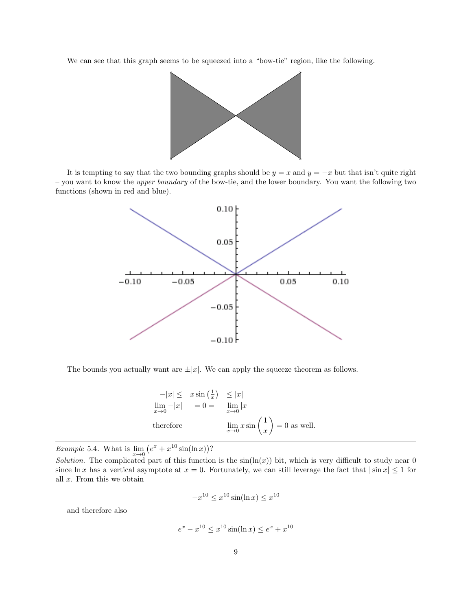We can see that this graph seems to be squeezed into a "bow-tie" region, like the following.



It is tempting to say that the two bounding graphs should be  $y = x$  and  $y = -x$  but that isn't quite right – you want to know the upper boundary of the bow-tie, and the lower boundary. You want the following two functions (shown in red and blue).



The bounds you actually want are  $\pm |x|$ . We can apply the squeeze theorem as follows.

$$
-|x| \leq x \sin(\frac{1}{x}) \leq |x|
$$
  
\n
$$
\lim_{x \to 0} -|x| = 0 = \lim_{x \to 0} |x|
$$
  
\ntherefore 
$$
\lim_{x \to 0} x \sin(\frac{1}{x}) = 0
$$
 as well.

*Example* 5.4. What is  $\lim_{x\to 0} (e^x + x^{10} \sin(\ln x))$ ?

Solution. The complicated part of this function is the  $sin(ln(x))$  bit, which is very difficult to study near 0 since ln x has a vertical asymptote at  $x = 0$ . Fortunately, we can still leverage the fact that  $|\sin x| \le 1$  for all  $x$ . From this we obtain

$$
-x^{10} \le x^{10} \sin(\ln x) \le x^{10}
$$

and therefore also

$$
e^x - x^{10} \le x^{10} \sin(\ln x) \le e^x + x^{10}
$$